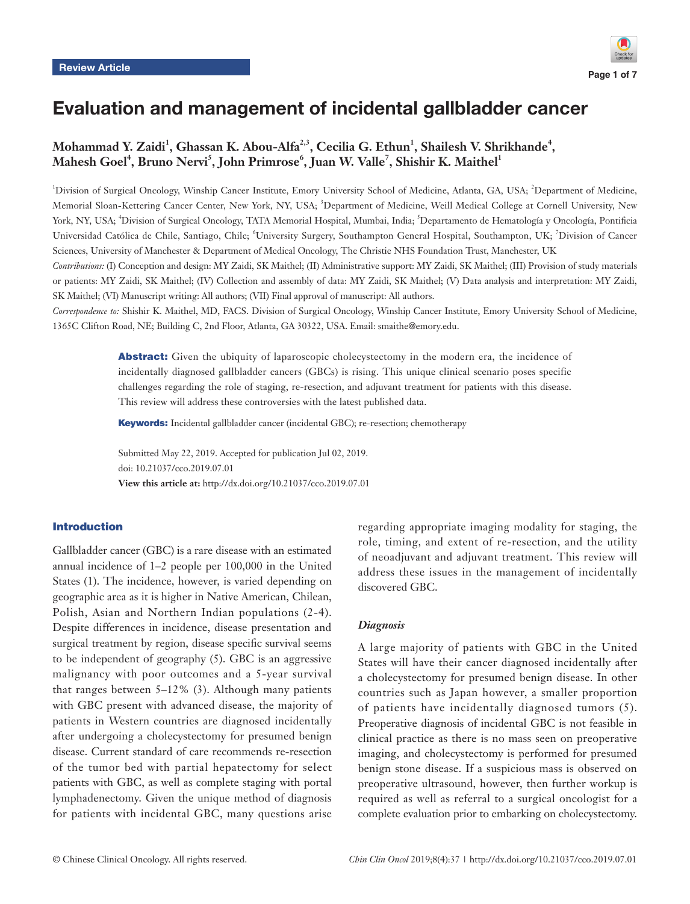

# Evaluation and management of incidental gallbladder cancer

# Mohammad Y. Zaidi<sup>1</sup>, Ghassan K. Abou-Alfa<sup>2,3</sup>, Cecilia G. Ethun<sup>1</sup>, Shailesh V. Shrikhande<sup>4</sup>,  $\mathbf{M}$ ahesh Goel $^4$ , Bruno Nervi $^5$ , John Primrose $^6$ , Juan W. Valle $^7$ , Shishir K. Maithel $^1$

<sup>1</sup>Division of Surgical Oncology, Winship Cancer Institute, Emory University School of Medicine, Atlanta, GA, USA; <sup>2</sup>Department of Medicine, Memorial Sloan-Kettering Cancer Center, New York, NY, USA; <sup>3</sup>Department of Medicine, Weill Medical College at Cornell University, New York, NY, USA; <sup>4</sup>Division of Surgical Oncology, TATA Memorial Hospital, Mumbai, India; <sup>5</sup>Departamento de Hematología y Oncología, Pontificia Universidad Católica de Chile, Santiago, Chile; <sup>6</sup>University Surgery, Southampton General Hospital, Southampton, UK; <sup>7</sup>Division of Cancer Sciences, University of Manchester & Department of Medical Oncology, The Christie NHS Foundation Trust, Manchester, UK

*Contributions:* (I) Conception and design: MY Zaidi, SK Maithel; (II) Administrative support: MY Zaidi, SK Maithel; (III) Provision of study materials or patients: MY Zaidi, SK Maithel; (IV) Collection and assembly of data: MY Zaidi, SK Maithel; (V) Data analysis and interpretation: MY Zaidi, SK Maithel; (VI) Manuscript writing: All authors; (VII) Final approval of manuscript: All authors.

*Correspondence to:* Shishir K. Maithel, MD, FACS. Division of Surgical Oncology, Winship Cancer Institute, Emory University School of Medicine, 1365C Clifton Road, NE; Building C, 2nd Floor, Atlanta, GA 30322, USA. Email: smaithe@emory.edu.

> Abstract: Given the ubiquity of laparoscopic cholecystectomy in the modern era, the incidence of incidentally diagnosed gallbladder cancers (GBCs) is rising. This unique clinical scenario poses specific challenges regarding the role of staging, re-resection, and adjuvant treatment for patients with this disease. This review will address these controversies with the latest published data.

Keywords: Incidental gallbladder cancer (incidental GBC); re-resection; chemotherapy

Submitted May 22, 2019. Accepted for publication Jul 02, 2019. doi: 10.21037/cco.2019.07.01 **View this article at:** http://dx.doi.org/10.21037/cco.2019.07.01

## Introduction

Gallbladder cancer (GBC) is a rare disease with an estimated annual incidence of 1–2 people per 100,000 in the United States (1). The incidence, however, is varied depending on geographic area as it is higher in Native American, Chilean, Polish, Asian and Northern Indian populations (2-4). Despite differences in incidence, disease presentation and surgical treatment by region, disease specific survival seems to be independent of geography (5). GBC is an aggressive malignancy with poor outcomes and a 5-year survival that ranges between  $5-12\%$  (3). Although many patients with GBC present with advanced disease, the majority of patients in Western countries are diagnosed incidentally after undergoing a cholecystectomy for presumed benign disease. Current standard of care recommends re-resection of the tumor bed with partial hepatectomy for select patients with GBC, as well as complete staging with portal lymphadenectomy. Given the unique method of diagnosis for patients with incidental GBC, many questions arise regarding appropriate imaging modality for staging, the role, timing, and extent of re-resection, and the utility of neoadjuvant and adjuvant treatment. This review will address these issues in the management of incidentally discovered GBC.

## *Diagnosis*

A large majority of patients with GBC in the United States will have their cancer diagnosed incidentally after a cholecystectomy for presumed benign disease. In other countries such as Japan however, a smaller proportion of patients have incidentally diagnosed tumors (5). Preoperative diagnosis of incidental GBC is not feasible in clinical practice as there is no mass seen on preoperative imaging, and cholecystectomy is performed for presumed benign stone disease. If a suspicious mass is observed on preoperative ultrasound, however, then further workup is required as well as referral to a surgical oncologist for a complete evaluation prior to embarking on cholecystectomy.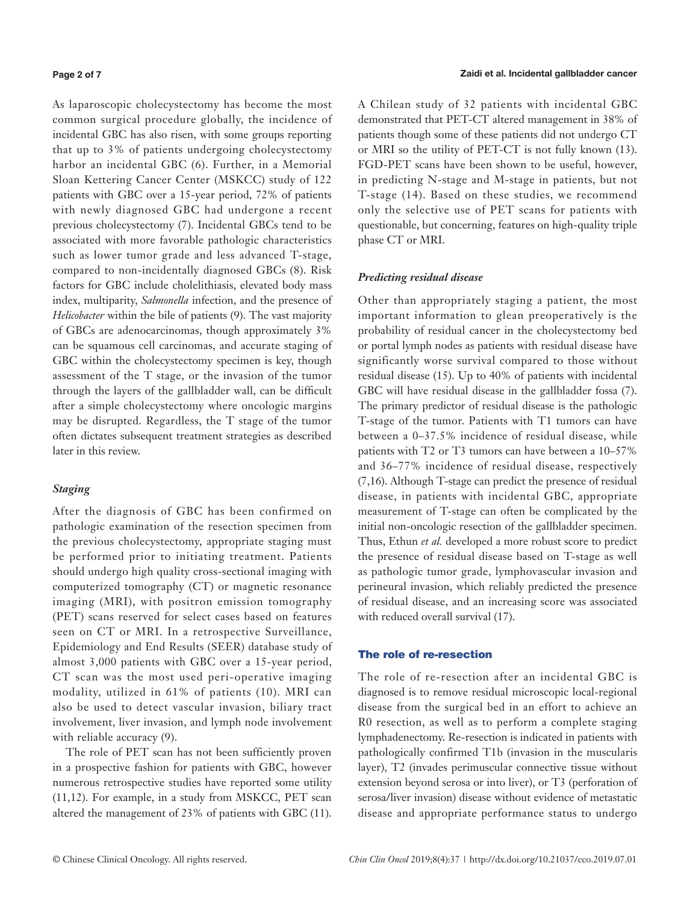#### **Page 2 of 7**

As laparoscopic cholecystectomy has become the most common surgical procedure globally, the incidence of incidental GBC has also risen, with some groups reporting that up to 3% of patients undergoing cholecystectomy harbor an incidental GBC (6). Further, in a Memorial Sloan Kettering Cancer Center (MSKCC) study of 122 patients with GBC over a 15-year period, 72% of patients with newly diagnosed GBC had undergone a recent previous cholecystectomy (7). Incidental GBCs tend to be associated with more favorable pathologic characteristics such as lower tumor grade and less advanced T-stage, compared to non-incidentally diagnosed GBCs (8). Risk factors for GBC include cholelithiasis, elevated body mass index, multiparity, *Salmonella* infection, and the presence of *Helicobacter* within the bile of patients (9). The vast majority of GBCs are adenocarcinomas, though approximately 3% can be squamous cell carcinomas, and accurate staging of GBC within the cholecystectomy specimen is key, though assessment of the T stage, or the invasion of the tumor through the layers of the gallbladder wall, can be difficult after a simple cholecystectomy where oncologic margins may be disrupted. Regardless, the T stage of the tumor often dictates subsequent treatment strategies as described later in this review.

# *Staging*

After the diagnosis of GBC has been confirmed on pathologic examination of the resection specimen from the previous cholecystectomy, appropriate staging must be performed prior to initiating treatment. Patients should undergo high quality cross-sectional imaging with computerized tomography (CT) or magnetic resonance imaging (MRI), with positron emission tomography (PET) scans reserved for select cases based on features seen on CT or MRI. In a retrospective Surveillance, Epidemiology and End Results (SEER) database study of almost 3,000 patients with GBC over a 15-year period, CT scan was the most used peri-operative imaging modality, utilized in 61% of patients (10). MRI can also be used to detect vascular invasion, biliary tract involvement, liver invasion, and lymph node involvement with reliable accuracy (9).

The role of PET scan has not been sufficiently proven in a prospective fashion for patients with GBC, however numerous retrospective studies have reported some utility (11,12). For example, in a study from MSKCC, PET scan altered the management of 23% of patients with GBC (11). A Chilean study of 32 patients with incidental GBC demonstrated that PET-CT altered management in 38% of patients though some of these patients did not undergo CT or MRI so the utility of PET-CT is not fully known (13). FGD-PET scans have been shown to be useful, however, in predicting N-stage and M-stage in patients, but not T-stage (14). Based on these studies, we recommend only the selective use of PET scans for patients with questionable, but concerning, features on high-quality triple phase CT or MRI.

## *Predicting residual disease*

Other than appropriately staging a patient, the most important information to glean preoperatively is the probability of residual cancer in the cholecystectomy bed or portal lymph nodes as patients with residual disease have significantly worse survival compared to those without residual disease (15). Up to 40% of patients with incidental GBC will have residual disease in the gallbladder fossa (7). The primary predictor of residual disease is the pathologic T-stage of the tumor. Patients with T1 tumors can have between a 0–37.5% incidence of residual disease, while patients with T2 or T3 tumors can have between a 10–57% and 36–77% incidence of residual disease, respectively (7,16). Although T-stage can predict the presence of residual disease, in patients with incidental GBC, appropriate measurement of T-stage can often be complicated by the initial non-oncologic resection of the gallbladder specimen. Thus, Ethun *et al.* developed a more robust score to predict the presence of residual disease based on T-stage as well as pathologic tumor grade, lymphovascular invasion and perineural invasion, which reliably predicted the presence of residual disease, and an increasing score was associated with reduced overall survival (17).

## The role of re-resection

The role of re-resection after an incidental GBC is diagnosed is to remove residual microscopic local-regional disease from the surgical bed in an effort to achieve an R0 resection, as well as to perform a complete staging lymphadenectomy. Re-resection is indicated in patients with pathologically confirmed T1b (invasion in the muscularis layer), T2 (invades perimuscular connective tissue without extension beyond serosa or into liver), or T3 (perforation of serosa/liver invasion) disease without evidence of metastatic disease and appropriate performance status to undergo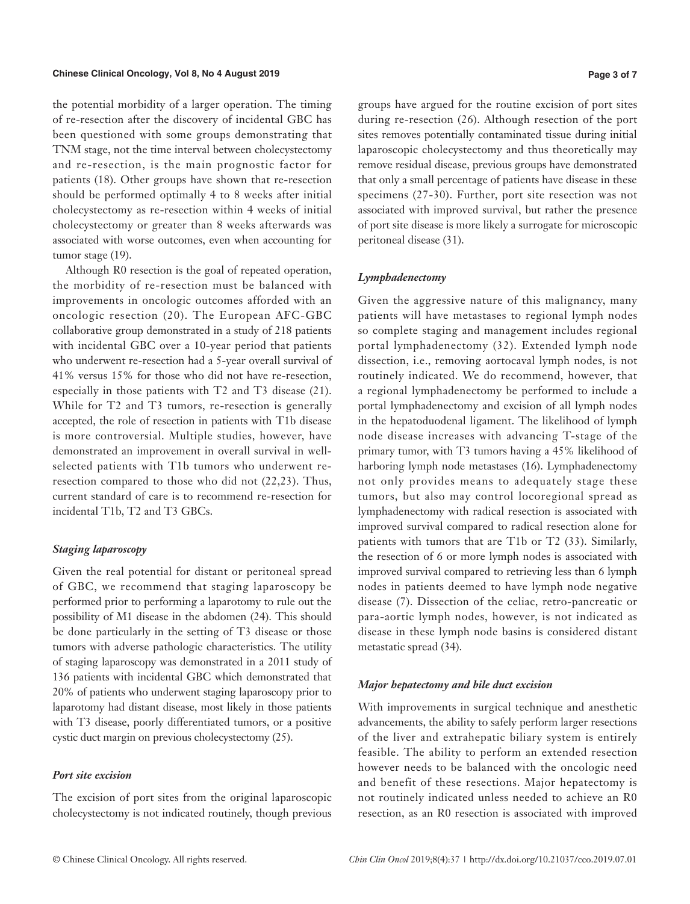#### **Chinese Clinical Oncology, Vol 8, No 4 August 2019**

the potential morbidity of a larger operation. The timing of re-resection after the discovery of incidental GBC has been questioned with some groups demonstrating that TNM stage, not the time interval between cholecystectomy and re-resection, is the main prognostic factor for patients (18). Other groups have shown that re-resection should be performed optimally 4 to 8 weeks after initial cholecystectomy as re-resection within 4 weeks of initial cholecystectomy or greater than 8 weeks afterwards was associated with worse outcomes, even when accounting for tumor stage (19).

Although R0 resection is the goal of repeated operation, the morbidity of re-resection must be balanced with improvements in oncologic outcomes afforded with an oncologic resection (20). The European AFC-GBC collaborative group demonstrated in a study of 218 patients with incidental GBC over a 10-year period that patients who underwent re-resection had a 5-year overall survival of 41% versus 15% for those who did not have re-resection, especially in those patients with T2 and T3 disease (21). While for T2 and T3 tumors, re-resection is generally accepted, the role of resection in patients with T1b disease is more controversial. Multiple studies, however, have demonstrated an improvement in overall survival in wellselected patients with T1b tumors who underwent reresection compared to those who did not (22,23). Thus, current standard of care is to recommend re-resection for incidental T1b, T2 and T3 GBCs.

# *Staging laparoscopy*

Given the real potential for distant or peritoneal spread of GBC, we recommend that staging laparoscopy be performed prior to performing a laparotomy to rule out the possibility of M1 disease in the abdomen (24). This should be done particularly in the setting of T3 disease or those tumors with adverse pathologic characteristics. The utility of staging laparoscopy was demonstrated in a 2011 study of 136 patients with incidental GBC which demonstrated that 20% of patients who underwent staging laparoscopy prior to laparotomy had distant disease, most likely in those patients with T3 disease, poorly differentiated tumors, or a positive cystic duct margin on previous cholecystectomy (25).

# *Port site excision*

The excision of port sites from the original laparoscopic cholecystectomy is not indicated routinely, though previous

groups have argued for the routine excision of port sites during re-resection (26). Although resection of the port sites removes potentially contaminated tissue during initial laparoscopic cholecystectomy and thus theoretically may remove residual disease, previous groups have demonstrated that only a small percentage of patients have disease in these specimens (27-30). Further, port site resection was not associated with improved survival, but rather the presence of port site disease is more likely a surrogate for microscopic peritoneal disease (31).

## *Lymphadenectomy*

Given the aggressive nature of this malignancy, many patients will have metastases to regional lymph nodes so complete staging and management includes regional portal lymphadenectomy (32). Extended lymph node dissection, i.e., removing aortocaval lymph nodes, is not routinely indicated. We do recommend, however, that a regional lymphadenectomy be performed to include a portal lymphadenectomy and excision of all lymph nodes in the hepatoduodenal ligament. The likelihood of lymph node disease increases with advancing T-stage of the primary tumor, with T3 tumors having a 45% likelihood of harboring lymph node metastases (16). Lymphadenectomy not only provides means to adequately stage these tumors, but also may control locoregional spread as lymphadenectomy with radical resection is associated with improved survival compared to radical resection alone for patients with tumors that are T1b or T2 (33). Similarly, the resection of 6 or more lymph nodes is associated with improved survival compared to retrieving less than 6 lymph nodes in patients deemed to have lymph node negative disease (7). Dissection of the celiac, retro-pancreatic or para-aortic lymph nodes, however, is not indicated as disease in these lymph node basins is considered distant metastatic spread (34).

## *Major hepatectomy and bile duct excision*

With improvements in surgical technique and anesthetic advancements, the ability to safely perform larger resections of the liver and extrahepatic biliary system is entirely feasible. The ability to perform an extended resection however needs to be balanced with the oncologic need and benefit of these resections. Major hepatectomy is not routinely indicated unless needed to achieve an R0 resection, as an R0 resection is associated with improved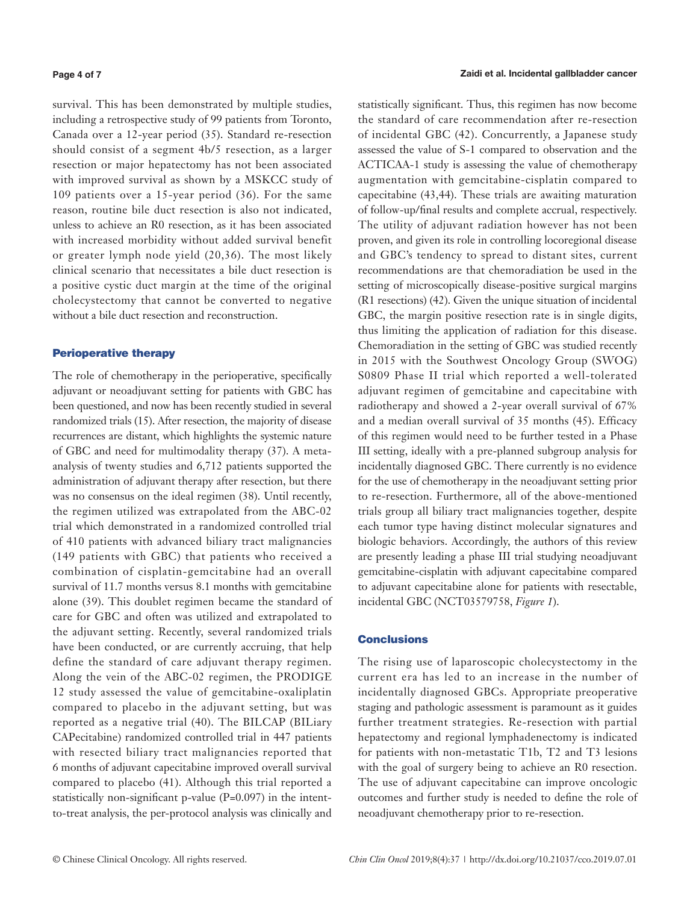#### **Page 4 of 7**

survival. This has been demonstrated by multiple studies, including a retrospective study of 99 patients from Toronto, Canada over a 12-year period (35). Standard re-resection should consist of a segment 4b/5 resection, as a larger resection or major hepatectomy has not been associated with improved survival as shown by a MSKCC study of 109 patients over a 15-year period (36). For the same reason, routine bile duct resection is also not indicated, unless to achieve an R0 resection, as it has been associated with increased morbidity without added survival benefit or greater lymph node yield (20,36). The most likely clinical scenario that necessitates a bile duct resection is a positive cystic duct margin at the time of the original cholecystectomy that cannot be converted to negative without a bile duct resection and reconstruction.

## Perioperative therapy

The role of chemotherapy in the perioperative, specifically adjuvant or neoadjuvant setting for patients with GBC has been questioned, and now has been recently studied in several randomized trials (15). After resection, the majority of disease recurrences are distant, which highlights the systemic nature of GBC and need for multimodality therapy (37). A metaanalysis of twenty studies and 6,712 patients supported the administration of adjuvant therapy after resection, but there was no consensus on the ideal regimen (38). Until recently, the regimen utilized was extrapolated from the ABC-02 trial which demonstrated in a randomized controlled trial of 410 patients with advanced biliary tract malignancies (149 patients with GBC) that patients who received a combination of cisplatin-gemcitabine had an overall survival of 11.7 months versus 8.1 months with gemcitabine alone (39). This doublet regimen became the standard of care for GBC and often was utilized and extrapolated to the adjuvant setting. Recently, several randomized trials have been conducted, or are currently accruing, that help define the standard of care adjuvant therapy regimen. Along the vein of the ABC-02 regimen, the PRODIGE 12 study assessed the value of gemcitabine-oxaliplatin compared to placebo in the adjuvant setting, but was reported as a negative trial (40). The BILCAP (BILiary CAPecitabine) randomized controlled trial in 447 patients with resected biliary tract malignancies reported that 6 months of adjuvant capecitabine improved overall survival compared to placebo (41). Although this trial reported a statistically non-significant p-value (P=0.097) in the intentto-treat analysis, the per-protocol analysis was clinically and statistically significant. Thus, this regimen has now become the standard of care recommendation after re-resection of incidental GBC (42). Concurrently, a Japanese study assessed the value of S-1 compared to observation and the ACTICAA-1 study is assessing the value of chemotherapy augmentation with gemcitabine-cisplatin compared to capecitabine (43,44). These trials are awaiting maturation of follow-up/final results and complete accrual, respectively. The utility of adjuvant radiation however has not been proven, and given its role in controlling locoregional disease and GBC's tendency to spread to distant sites, current recommendations are that chemoradiation be used in the setting of microscopically disease-positive surgical margins (R1 resections) (42). Given the unique situation of incidental GBC, the margin positive resection rate is in single digits, thus limiting the application of radiation for this disease. Chemoradiation in the setting of GBC was studied recently in 2015 with the Southwest Oncology Group (SWOG) S0809 Phase II trial which reported a well-tolerated adjuvant regimen of gemcitabine and capecitabine with radiotherapy and showed a 2-year overall survival of 67% and a median overall survival of 35 months (45). Efficacy of this regimen would need to be further tested in a Phase III setting, ideally with a pre-planned subgroup analysis for incidentally diagnosed GBC. There currently is no evidence for the use of chemotherapy in the neoadjuvant setting prior to re-resection. Furthermore, all of the above-mentioned trials group all biliary tract malignancies together, despite each tumor type having distinct molecular signatures and biologic behaviors. Accordingly, the authors of this review are presently leading a phase III trial studying neoadjuvant gemcitabine-cisplatin with adjuvant capecitabine compared to adjuvant capecitabine alone for patients with resectable, incidental GBC (NCT03579758, *Figure 1*).

## **Conclusions**

The rising use of laparoscopic cholecystectomy in the current era has led to an increase in the number of incidentally diagnosed GBCs. Appropriate preoperative staging and pathologic assessment is paramount as it guides further treatment strategies. Re-resection with partial hepatectomy and regional lymphadenectomy is indicated for patients with non-metastatic T1b, T2 and T3 lesions with the goal of surgery being to achieve an R0 resection. The use of adjuvant capecitabine can improve oncologic outcomes and further study is needed to define the role of neoadjuvant chemotherapy prior to re-resection.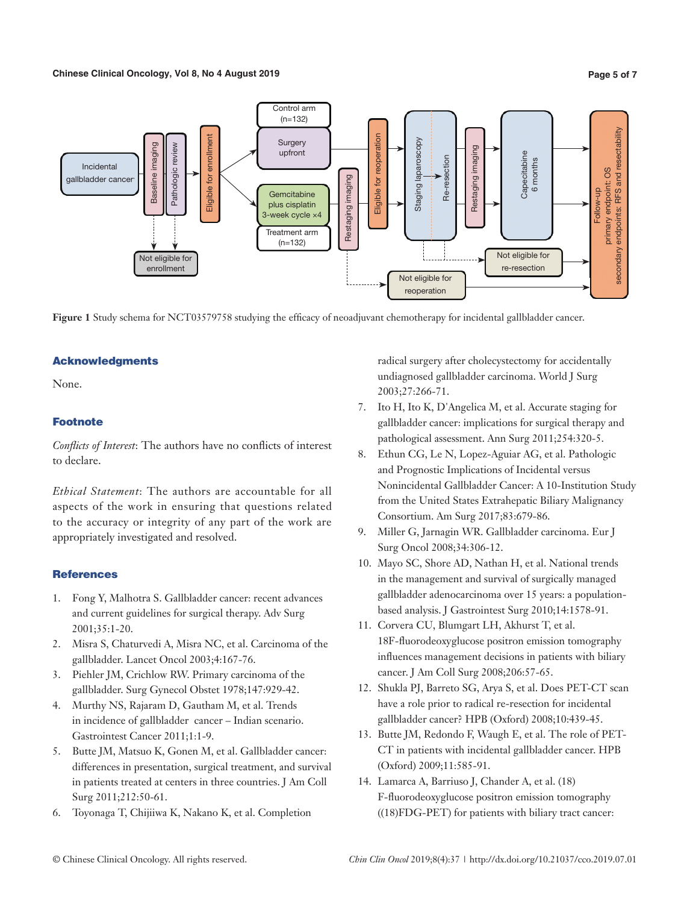## **Chinese Clinical Oncology, Vol 8, No 4 August 2019**

# Control arm  $(n=132)$ **Surgery** laparoscopy upfront

secondary endpoints: RFS and resectability secondary endpoints: RFS and resectability Eligible for enrollment Eligible for reoperation Eligible for reoperation enrollment Staging laparoscopy enrollment Baseline imaging<br>
Pathologic review<br>
Pathologic review<br>
Pathologic review Restaging imaging Restaging imaging **Capecitabine** Capecitabine Re-resection Re-resection 6 months 6 months Incidental 8O primary endpoint: OS gallbladder cancer Eligible for lestaging imaging Restaging imaging Staging I primary endpoint: Follow-up Follow-up **Gemcitabine** plus cisplatin 3-week cycle ×4 Treatment arm (n=132) Not eligible for Not eligible for re-resection Not eligible for reoperation

**Figure 1** Study schema for NCT03579758 studying the efficacy of neoadjuvant chemotherapy for incidental gallbladder cancer.

# Acknowledgments

None.

# **Footnote**

*Conflicts of Interest*: The authors have no conflicts of interest to declare.

*Ethical Statement*: The authors are accountable for all aspects of the work in ensuring that questions related to the accuracy or integrity of any part of the work are appropriately investigated and resolved.

# **References**

- 1. Fong Y, Malhotra S. Gallbladder cancer: recent advances and current guidelines for surgical therapy. Adv Surg 2001;35:1-20.
- 2. Misra S, Chaturvedi A, Misra NC, et al. Carcinoma of the gallbladder. Lancet Oncol 2003;4:167-76.
- 3. Piehler JM, Crichlow RW. Primary carcinoma of the gallbladder. Surg Gynecol Obstet 1978;147:929-42.
- 4. Murthy NS, Rajaram D, Gautham M, et al. Trends in incidence of gallbladder cancer – Indian scenario. Gastrointest Cancer 2011;1:1-9.
- 5. Butte JM, Matsuo K, Gonen M, et al. Gallbladder cancer: differences in presentation, surgical treatment, and survival in patients treated at centers in three countries. J Am Coll Surg 2011;212:50-61.
- 6. Toyonaga T, Chijiiwa K, Nakano K, et al. Completion

radical surgery after cholecystectomy for accidentally undiagnosed gallbladder carcinoma. World J Surg 2003;27:266-71.

- 7. Ito H, Ito K, D'Angelica M, et al. Accurate staging for gallbladder cancer: implications for surgical therapy and pathological assessment. Ann Surg 2011;254:320-5.
- 8. Ethun CG, Le N, Lopez-Aguiar AG, et al. Pathologic and Prognostic Implications of Incidental versus Nonincidental Gallbladder Cancer: A 10-Institution Study from the United States Extrahepatic Biliary Malignancy Consortium. Am Surg 2017;83:679-86.
- 9. Miller G, Jarnagin WR. Gallbladder carcinoma. Eur J Surg Oncol 2008;34:306-12.
- 10. Mayo SC, Shore AD, Nathan H, et al. National trends in the management and survival of surgically managed gallbladder adenocarcinoma over 15 years: a populationbased analysis. J Gastrointest Surg 2010;14:1578-91.
- 11. Corvera CU, Blumgart LH, Akhurst T, et al. 18F-fluorodeoxyglucose positron emission tomography influences management decisions in patients with biliary cancer. J Am Coll Surg 2008;206:57-65.
- 12. Shukla PJ, Barreto SG, Arya S, et al. Does PET-CT scan have a role prior to radical re-resection for incidental gallbladder cancer? HPB (Oxford) 2008;10:439-45.
- 13. Butte JM, Redondo F, Waugh E, et al. The role of PET-CT in patients with incidental gallbladder cancer. HPB (Oxford) 2009;11:585-91.
- 14. Lamarca A, Barriuso J, Chander A, et al. (18) F-fluorodeoxyglucose positron emission tomography ((18)FDG-PET) for patients with biliary tract cancer: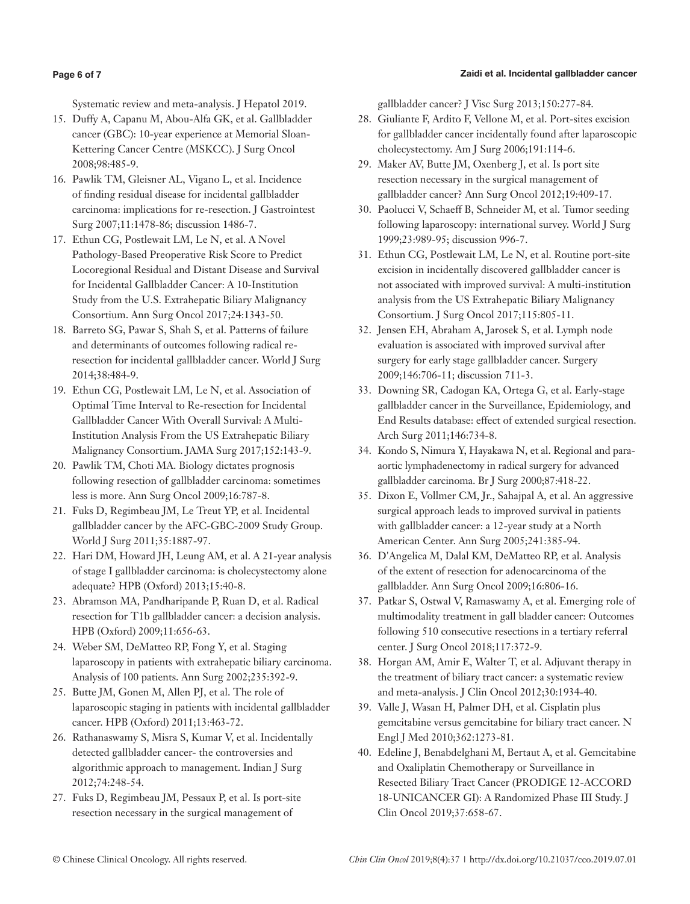## Zaidi et al. Incidental gallbladder cancer

## **Page 6 of 7**

Systematic review and meta-analysis. J Hepatol 2019.

- 15. Duffy A, Capanu M, Abou-Alfa GK, et al. Gallbladder cancer (GBC): 10-year experience at Memorial Sloan-Kettering Cancer Centre (MSKCC). J Surg Oncol 2008;98:485-9.
- 16. Pawlik TM, Gleisner AL, Vigano L, et al. Incidence of finding residual disease for incidental gallbladder carcinoma: implications for re-resection. J Gastrointest Surg 2007;11:1478-86; discussion 1486-7.
- 17. Ethun CG, Postlewait LM, Le N, et al. A Novel Pathology-Based Preoperative Risk Score to Predict Locoregional Residual and Distant Disease and Survival for Incidental Gallbladder Cancer: A 10-Institution Study from the U.S. Extrahepatic Biliary Malignancy Consortium. Ann Surg Oncol 2017;24:1343-50.
- 18. Barreto SG, Pawar S, Shah S, et al. Patterns of failure and determinants of outcomes following radical reresection for incidental gallbladder cancer. World J Surg 2014;38:484-9.
- 19. Ethun CG, Postlewait LM, Le N, et al. Association of Optimal Time Interval to Re-resection for Incidental Gallbladder Cancer With Overall Survival: A Multi-Institution Analysis From the US Extrahepatic Biliary Malignancy Consortium. JAMA Surg 2017;152:143-9.
- 20. Pawlik TM, Choti MA. Biology dictates prognosis following resection of gallbladder carcinoma: sometimes less is more. Ann Surg Oncol 2009;16:787-8.
- 21. Fuks D, Regimbeau JM, Le Treut YP, et al. Incidental gallbladder cancer by the AFC-GBC-2009 Study Group. World J Surg 2011;35:1887-97.
- 22. Hari DM, Howard JH, Leung AM, et al. A 21-year analysis of stage I gallbladder carcinoma: is cholecystectomy alone adequate? HPB (Oxford) 2013;15:40-8.
- 23. Abramson MA, Pandharipande P, Ruan D, et al. Radical resection for T1b gallbladder cancer: a decision analysis. HPB (Oxford) 2009;11:656-63.
- 24. Weber SM, DeMatteo RP, Fong Y, et al. Staging laparoscopy in patients with extrahepatic biliary carcinoma. Analysis of 100 patients. Ann Surg 2002;235:392-9.
- 25. Butte JM, Gonen M, Allen PJ, et al. The role of laparoscopic staging in patients with incidental gallbladder cancer. HPB (Oxford) 2011;13:463-72.
- 26. Rathanaswamy S, Misra S, Kumar V, et al. Incidentally detected gallbladder cancer- the controversies and algorithmic approach to management. Indian J Surg 2012;74:248-54.
- 27. Fuks D, Regimbeau JM, Pessaux P, et al. Is port-site resection necessary in the surgical management of

gallbladder cancer? J Visc Surg 2013;150:277-84.

- 28. Giuliante F, Ardito F, Vellone M, et al. Port-sites excision for gallbladder cancer incidentally found after laparoscopic cholecystectomy. Am J Surg 2006;191:114-6.
- 29. Maker AV, Butte JM, Oxenberg J, et al. Is port site resection necessary in the surgical management of gallbladder cancer? Ann Surg Oncol 2012;19:409-17.
- 30. Paolucci V, Schaeff B, Schneider M, et al. Tumor seeding following laparoscopy: international survey. World J Surg 1999;23:989-95; discussion 996-7.
- 31. Ethun CG, Postlewait LM, Le N, et al. Routine port-site excision in incidentally discovered gallbladder cancer is not associated with improved survival: A multi-institution analysis from the US Extrahepatic Biliary Malignancy Consortium. J Surg Oncol 2017;115:805-11.
- 32. Jensen EH, Abraham A, Jarosek S, et al. Lymph node evaluation is associated with improved survival after surgery for early stage gallbladder cancer. Surgery 2009;146:706-11; discussion 711-3.
- 33. Downing SR, Cadogan KA, Ortega G, et al. Early-stage gallbladder cancer in the Surveillance, Epidemiology, and End Results database: effect of extended surgical resection. Arch Surg 2011;146:734-8.
- 34. Kondo S, Nimura Y, Hayakawa N, et al. Regional and paraaortic lymphadenectomy in radical surgery for advanced gallbladder carcinoma. Br J Surg 2000;87:418-22.
- 35. Dixon E, Vollmer CM, Jr., Sahajpal A, et al. An aggressive surgical approach leads to improved survival in patients with gallbladder cancer: a 12-year study at a North American Center. Ann Surg 2005;241:385-94.
- 36. D'Angelica M, Dalal KM, DeMatteo RP, et al. Analysis of the extent of resection for adenocarcinoma of the gallbladder. Ann Surg Oncol 2009;16:806-16.
- 37. Patkar S, Ostwal V, Ramaswamy A, et al. Emerging role of multimodality treatment in gall bladder cancer: Outcomes following 510 consecutive resections in a tertiary referral center. J Surg Oncol 2018;117:372-9.
- 38. Horgan AM, Amir E, Walter T, et al. Adjuvant therapy in the treatment of biliary tract cancer: a systematic review and meta-analysis. J Clin Oncol 2012;30:1934-40.
- 39. Valle J, Wasan H, Palmer DH, et al. Cisplatin plus gemcitabine versus gemcitabine for biliary tract cancer. N Engl J Med 2010;362:1273-81.
- 40. Edeline J, Benabdelghani M, Bertaut A, et al. Gemcitabine and Oxaliplatin Chemotherapy or Surveillance in Resected Biliary Tract Cancer (PRODIGE 12-ACCORD 18-UNICANCER GI): A Randomized Phase III Study. J Clin Oncol 2019;37:658-67.